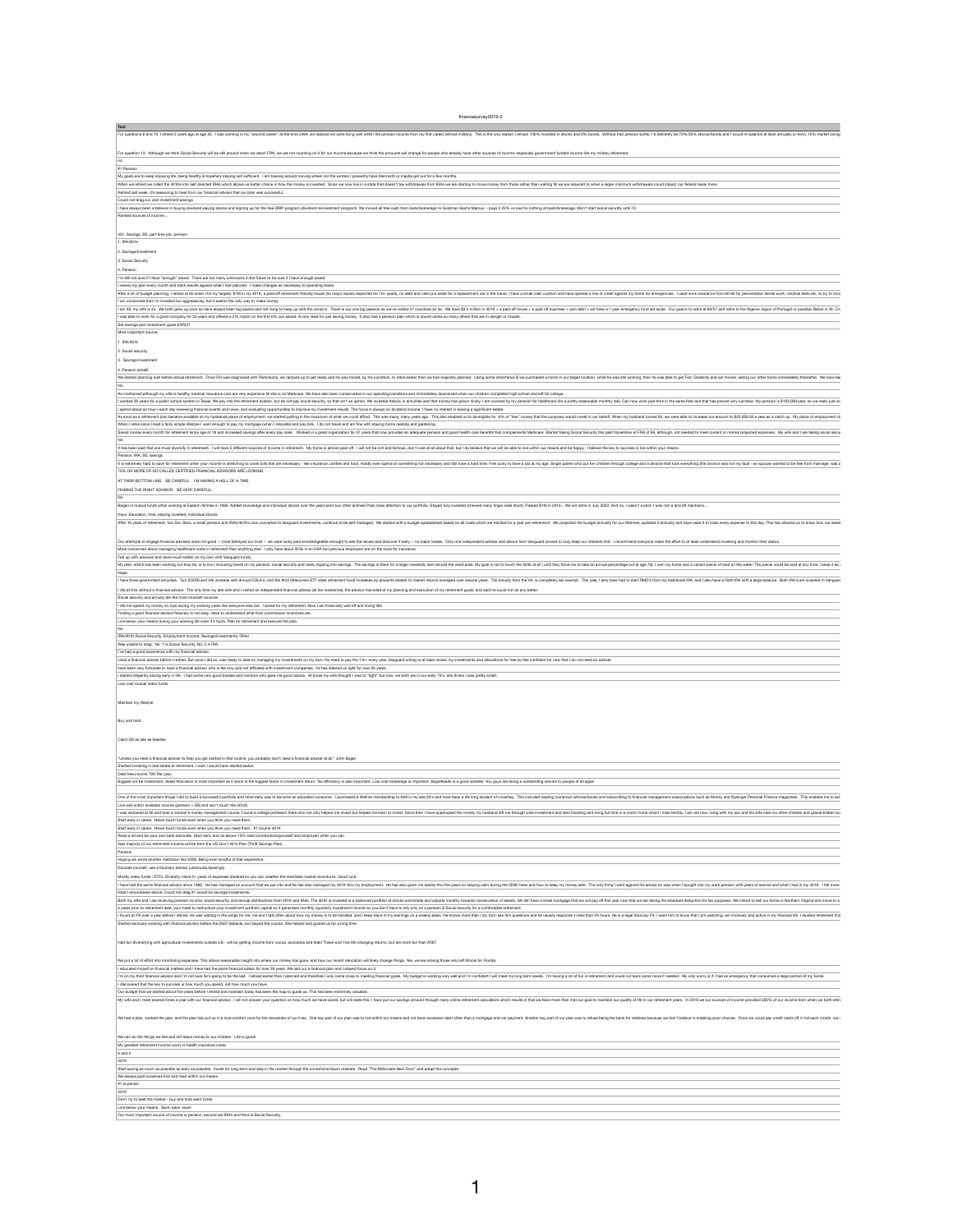financesurvey2019-2

| For questions 8 and 10: I retired 2 years ago at age 50. I was working in my "second career" at the time when we realized we were living well within the pension income from my first career (retired m stocks and 0% bonds. W  |
|---------------------------------------------------------------------------------------------------------------------------------------------------------------------------------------------------------------------------------|
|                                                                                                                                                                                                                                 |
| For question 13: Although we think Social Security will be still around when we reach FRA, we are not counting on it for our income because we think the amounts will change for people who already have other sources of inco  |
|                                                                                                                                                                                                                                 |
| #1 Pension                                                                                                                                                                                                                      |
| My goals are to keep enjoying life, being healthy & hopefully staying self sufficient. I am tossing around moving where not the winters I presently have (Vermont) or maybe get out for a few months.                           |
| When we retired we rolled the 401Ks into self directed IRAs which allows us better choice in how the money is invested. Since we now live in a state that doesn't tax withdrawals from IRAs we are starting to move money from  |
| Retired last week, it's reassuring to hear from our financial advisor that our plan was successful.                                                                                                                             |
| Could not drag,s.s. and investment, savings                                                                                                                                                                                     |
| I have always been a believer in buying dividend-paying stocks and signing up for the free DRIP program (dividend reinvestment program). We moved all free cash from bank/brokerage to Goldman Sachs Marcus - pays 2.25% vs ne  |
| Ranked sources of income,,,                                                                                                                                                                                                     |
|                                                                                                                                                                                                                                 |
| 401, Savings, SS, part time job, pension                                                                                                                                                                                        |
| . IRA/401k                                                                                                                                                                                                                      |
|                                                                                                                                                                                                                                 |
| 2. Savings/Investment                                                                                                                                                                                                           |
| 3. Social Security                                                                                                                                                                                                              |
| 4. Pension                                                                                                                                                                                                                      |
| I'm still not sure if I have "enough" saved. There are too many unknowns in the future to be sure if I have enough saved.                                                                                                       |
| I review my plan every month and track results against what I had planned. I make changes as necessary to spending levels.                                                                                                      |
| After a lot of budget planning, I retired at 65 when I hit my targets: \$1M in my 401K, a paid-off retirement-friendly house (no major repairs expected for 10+ years), no debt and cash put aside for a replacement car in the |
| I am concerned that i'm invested too aggressively, but it seems the only way to make money.                                                                                                                                     |
| I am 48, my wife is 45. We both grew up poor so have always been big savers and not living to keep up with the Jones's. Travel is our one big passion so we've visited 47 countries so far. We have \$2.5 million in 401K + a p |
| I was able to work for a good company for 33 years and offered a 3% match on the first 6% you saved. A nice raise for just saving money. It also had a pension plan which is sound unlike so many others that are in danger or  |
| Set savings and investment goals EARLY!                                                                                                                                                                                         |
| Most important source:                                                                                                                                                                                                          |
|                                                                                                                                                                                                                                 |

We started planning well before actual retirement. Once DH was diagnosed with Parkinsons, we ramped up to get ready and he was forced, by his condition, to retire earlier than we had originally planned. Using some in ber w No.

As mentioned although my wife is healthy medical insurance cost are very expensive till she is on Medicare. We have also been conservative in our spending/vacations and immediately downsized when our children completed hig

I worked 30 years for a public school system in Texas. We pay into the retirement system, but do not pay social security, so that isn't an option. We invested heavily in annuities and that money has grown nicely. I am cove

I spend about an hour+ each day reviewing financial events and news, and evaluating opportunities to improve my investment results. The focus is always on dividend income. I have no interest in leaving a significant estate

As soon as a retirement plan became available at my husbands place of employment, we started putting in the maximum of what we could afford. This was many, many years ago. This also enabled us to be eligible for 6% of "fre

When I retire since I lead a fairly simple lifestyle I want enough to pay my mortgage (when I relocate) and pay bills. I do not travel and am fine with staying home reading and gardening.

Saved money every month for retirement since age of 18 and increased savings after every pay raise. Worked in a great organization for 47 years that now provides an adequate pension and good health care benefits that compl

1 IRA/401k

2. Social security

3. Savings/investment

4. Pension (small)

| Maintain my lifestyle                                                                                                                                                                                                          |  |
|--------------------------------------------------------------------------------------------------------------------------------------------------------------------------------------------------------------------------------|--|
| Buy and hold                                                                                                                                                                                                                   |  |
| Claim SS as late as feasible                                                                                                                                                                                                   |  |
| Unless you need a financial adviser to help you get started in that routine, you probably don't need a financial adviser at all," John Bogle                                                                                   |  |
| Started investing in real estate at retirement. I wish I would have started earlier.                                                                                                                                           |  |
| Debt free, income 72K Per year.                                                                                                                                                                                                |  |
| Biggest will be investment. Asset Allocation is most important as it alone is the biggest factor in investment return. Tax efficiency is also important. Low cost brokerage is important. Bogleheads is a good website. You gu |  |
| One of the most important things I did to build a successful portfolio and retire early was to become an educated consumer. I purchased a lifetime membership to AAII in my late 20's and have been a life long student of inv |  |
| Live well within available income (pension $+$ SS) and don't touch the 401(k)                                                                                                                                                  |  |
| I was widowed at 56 and took a woman's money management course. Found a college professor there who not only helped me invest but helped me invest. Since then I have quadrupled the money my husband left me through wise inv |  |
| Start early in career. Never touch funds even when you think you need them.                                                                                                                                                    |  |
| Start early in career. Never touch funds even when you think you need them. #1 source 401K                                                                                                                                     |  |
| Read a lot and be your own best advocate. Start early and do above 15% total contributions(yourself and employer) when you can.                                                                                                |  |
| Vast majority of our retirement income will be from the US Gov't 401k Plan (Thrift Savings Plan).                                                                                                                              |  |
| Pension                                                                                                                                                                                                                        |  |
| Hoping we avoid another meltdown like 2008. Being ever mindful of that experience.                                                                                                                                             |  |
| Educate yourself, use a fiduciary advisor judiciously/sparingly.                                                                                                                                                               |  |
| Mostly index funds / ETFs. Diversify. Have 2+ years of expenses stashed so you can weather the inevitable market downturns. Good luck.                                                                                         |  |
| I have had the same financial advisor since 1986. He has managed an account that we put into and he has also managed my 401K thru my employment. He has also given me advise thru the years on staying calm during the 2008 me |  |
| Note I renumbered above. Could not drag.#1 would be savings/investments.                                                                                                                                                       |  |
| Both my wife and I are receiving pension income, social security, and annual distributions from 401K and IRAs. The 401K is invested in a balanced portfolio of stocks and bonds and adjusts monthly towards conservation of as |  |
| 5 years prior to retirement date, your need to restructure your investment portfolio capital so it generates monthly /quarterly investment income so you don't have to rely only on a pension & Social security for a comforta |  |
| I found an FA over a year before I retired. He was waiting in the wings for me. He and I talk often about how my money is to be handled, and I keep track of my earnings on a weekly basis. He is a legal fiduciary FA. I want |  |
| Started seriously working with financial advisor before the 2007 debacle, but stayed the course. She helped and guided us for a long time.                                                                                     |  |
| Had fun diversifying with agricultural investments outside US - will be getting income from cocoa, avocados and teak! These won't be life-changing returns, but are more fun than AT&T.                                        |  |
| We put a lot of effort into monitoring expenses. This allows reasonable insight into where our money has gone, and how our recent relocation will likely change things. Yes, we are among those who left Illinois for Florida. |  |
| I educated myself on financial matters and I have had the same financial adisor for over 29 years. We laid out a financial plan and I stayed focus on it.                                                                      |  |
| I'm on my third financial advisor and I'm not sure he's going to be the last. I retired earlier then I planned and therefore I only came close to meeting financial goals. My budget is working very well and could cut back s |  |
| I discovered that the key to success is how much you spend, not how much you have.                                                                                                                                             |  |
| Our budget that we started about five years before I retired and maintain today has been the map to guide us. This has been extremely valuable.                                                                                |  |
| My wife and I meet several times a year with our financial advisor. I will not answer your question on how much we have saved, but will state this: I have put our savings amount through many online retirement calculators w |  |
| We had a plan, worked the plan, and the plan has put us in a nice comfort zone for the remainder of our lives. One key part of our plan was to live within our means and not have excessive debt other than a mortgage and car |  |

We can do the things we like and still leave money to our children. Life is good!

No

It has been said that one must diversify in retirement. I will have 5 different sources of income in retirement. My home is almost paid off. I will not be rich and famous, don't care at all about that, but I do believe tha

Pension, IRA, SS, savings

It is extremely hard to save for retirement when your income is stretching to cover bills that are necessary - like insurance, utilities and food. Hardly ever spend on something not necessary and still have a hard time. Fe

75% OR MORE OF SO-CALLED CERTIFIED FINANCIAL ADVISORS ARE LOOKING

AT THEIR BOTTOM LINE. BE CAREFUL I'M HAVING A HELL OF A TIME

FINDING THE RIGHT ADVISOR. BE VERY CAREFUL.

No

Began in mutual funds while working at Eastern Airlines in 1985. Added knowledge and individual stocks over the years (and two other airlines) Paid close attention to our portfolio. Stayed fully invested (chewed many finge

Keys: Education, time, staying invested, individual stocks.

After 16 years of retirement, two Soc Secs, a small pension and IRAs/401Ks now converted to Vanguard investments, continue to be self-managed. We started with a budget spreadsheet based on all costs which we tracked for a

Our attempts to engage financial advisers were not good -- most betrayed our trust -- we were lucky (and knowledgeable enough) to see the issues and discover it early -- no major losses. Only one independent adviser and ad

More concerned about managing healthcare costs in retirement than anything else. I only have about \$15k in an HSA but previous employers are on the hook for insurance.

Fed up with advisors and done much better on my own with Vanguard funds,

My plan, which has been working out thus far, is to live (including travel) on my pension, social security and rarely dipping into savings. The savings is there for a larger necessity item should the need arise. My goal is

Nope

I have three government annuities. Two (CSRS and VA) increase with annual COLA's, and the third (Wisconsin ETF state retirement fund) increases by amounts related to market returns averaged over several year, I also have h

I did all this without a financial advisor. The only time my late wife and I visited an independent financial advisor (at her insistence), the advisor marveled at my planning and execution of my retirement goals, and said

Social security and annuity ate the most imortant sources.

I did not spend my money on toys during my working years like everyone else did. I saved for my retirement. Now I am financially well off and loving life!

Finding a good financial advisor/fiduciary is not easy. Have to understand what their commission incentives are.

Live below your means during your working life even if it hurts. Plan for retirement and execute the plan.

No

IRA/401K,Social Security, Employment Income, Savings/investments, Other

Was unable to drag. No. 1 is Social Security, No. 2 is IRA.

I've had a good experience with my financial advisor.

Used a financial adviser before I retired. But once I did so, was ready to take on managing my investments on my own. No need to pay the 1%+ every year. Vanguard willing to at least review my investments and allocations fo

have been very fortunate to have a financial advisor who is fee only and not affiliated with investment companies. he has steered us right for over 20 years.

I started diligently saving early in life. I had some very good bosses and mentors who gave me good advice. At times my wife thought I was to "tight" but now, we both are in our early 70's, she thinks I was pretty smart.

Low cost mutual index funds

My greatest retirement income worry is health insurance costs.

| $6$ and 4                                                                                                                                                                                         |
|---------------------------------------------------------------------------------------------------------------------------------------------------------------------------------------------------|
| 401K                                                                                                                                                                                              |
| Start saving as much as possible as early as possible. Invest for long-term and stay in the market through the corrections/down markets. Read "The Millionaire Next Door" and adopt the concepts. |
| We always paid ourselves first and lived within our means.                                                                                                                                        |
| $\#1$ is pensio                                                                                                                                                                                   |
| 401K                                                                                                                                                                                              |
| Don't try to beat the market - buy and hold solid funds                                                                                                                                           |
| Live below your means. Save, save, save!                                                                                                                                                          |
| Our most important source of income is pension, second are IRA's and third is Social Security.                                                                                                    |

1